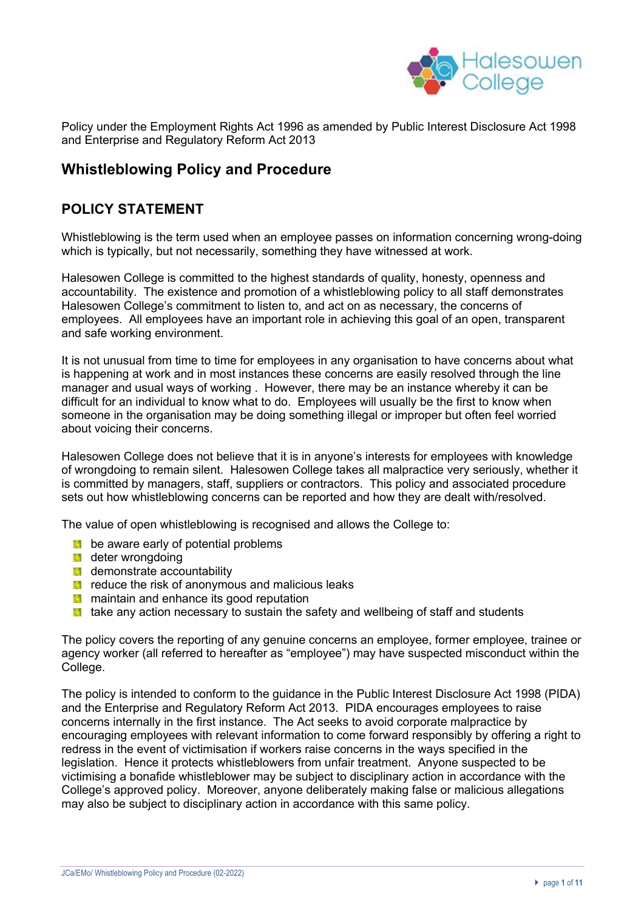

Policy under the Employment Rights Act 1996 as amended by Public Interest Disclosure Act 1998 and Enterprise and Regulatory Reform Act 2013

# **Whistleblowing Policy and Procedure**

## **POLICY STATEMENT**

Whistleblowing is the term used when an employee passes on information concerning wrong-doing which is typically, but not necessarily, something they have witnessed at work.

Halesowen College is committed to the highest standards of quality, honesty, openness and accountability. The existence and promotion of a whistleblowing policy to all staff demonstrates Halesowen College's commitment to listen to, and act on as necessary, the concerns of employees. All employees have an important role in achieving this goal of an open, transparent and safe working environment.

It is not unusual from time to time for employees in any organisation to have concerns about what is happening at work and in most instances these concerns are easily resolved through the line manager and usual ways of working . However, there may be an instance whereby it can be difficult for an individual to know what to do. Employees will usually be the first to know when someone in the organisation may be doing something illegal or improper but often feel worried about voicing their concerns.

Halesowen College does not believe that it is in anyone's interests for employees with knowledge of wrongdoing to remain silent. Halesowen College takes all malpractice very seriously, whether it is committed by managers, staff, suppliers or contractors. This policy and associated procedure sets out how whistleblowing concerns can be reported and how they are dealt with/resolved.

The value of open whistleblowing is recognised and allows the College to:

- **b** be aware early of potential problems
- **deter wrongdoing**
- **demonstrate accountability**
- $\blacksquare$  reduce the risk of anonymous and malicious leaks
- **M** maintain and enhance its good reputation
- $\blacksquare$  take any action necessary to sustain the safety and wellbeing of staff and students

The policy covers the reporting of any genuine concerns an employee, former employee, trainee or agency worker (all referred to hereafter as "employee") may have suspected misconduct within the College.

The policy is intended to conform to the guidance in the Public Interest Disclosure Act 1998 (PIDA) and the Enterprise and Regulatory Reform Act 2013. PIDA encourages employees to raise concerns internally in the first instance. The Act seeks to avoid corporate malpractice by encouraging employees with relevant information to come forward responsibly by offering a right to redress in the event of victimisation if workers raise concerns in the ways specified in the legislation. Hence it protects whistleblowers from unfair treatment. Anyone suspected to be victimising a bonafide whistleblower may be subject to disciplinary action in accordance with the College's approved policy. Moreover, anyone deliberately making false or malicious allegations may also be subject to disciplinary action in accordance with this same policy.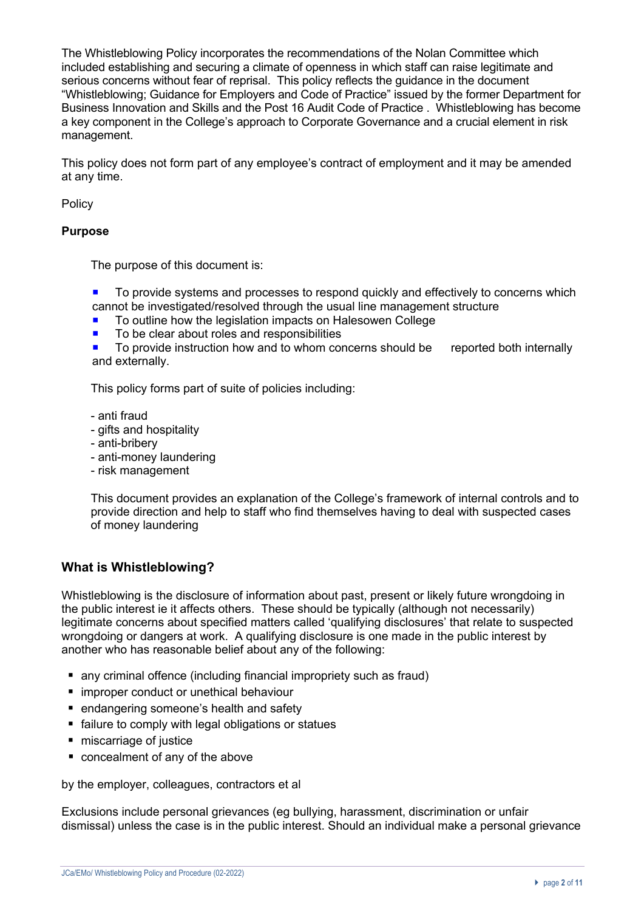The Whistleblowing Policy incorporates the recommendations of the Nolan Committee which included establishing and securing a climate of openness in which staff can raise legitimate and serious concerns without fear of reprisal. This policy reflects the guidance in the document "Whistleblowing; Guidance for Employers and Code of Practice" issued by the former Department for Business Innovation and Skills and the Post 16 Audit Code of Practice . Whistleblowing has become a key component in the College's approach to Corporate Governance and a crucial element in risk management.

This policy does not form part of any employee's contract of employment and it may be amended at any time.

Policy

#### **Purpose**

The purpose of this document is:

- To provide systems and processes to respond quickly and effectively to concerns which cannot be investigated/resolved through the usual line management structure
- To outline how the legislation impacts on Halesowen College
- To be clear about roles and responsibilities
- To provide instruction how and to whom concerns should be reported both internally and externally.

This policy forms part of suite of policies including:

- anti fraud
- gifts and hospitality
- anti-bribery
- anti-money laundering
- risk management

This document provides an explanation of the College's framework of internal controls and to provide direction and help to staff who find themselves having to deal with suspected cases of money laundering

#### **What is Whistleblowing?**

Whistleblowing is the disclosure of information about past, present or likely future wrongdoing in the public interest ie it affects others. These should be typically (although not necessarily) legitimate concerns about specified matters called 'qualifying disclosures' that relate to suspected wrongdoing or dangers at work. A qualifying disclosure is one made in the public interest by another who has reasonable belief about any of the following:

- any criminal offence (including financial impropriety such as fraud)
- improper conduct or unethical behaviour
- endangering someone's health and safety
- failure to comply with legal obligations or statues
- miscarriage of justice
- concealment of any of the above

by the employer, colleagues, contractors et al

Exclusions include personal grievances (eg bullying, harassment, discrimination or unfair dismissal) unless the case is in the public interest. Should an individual make a personal grievance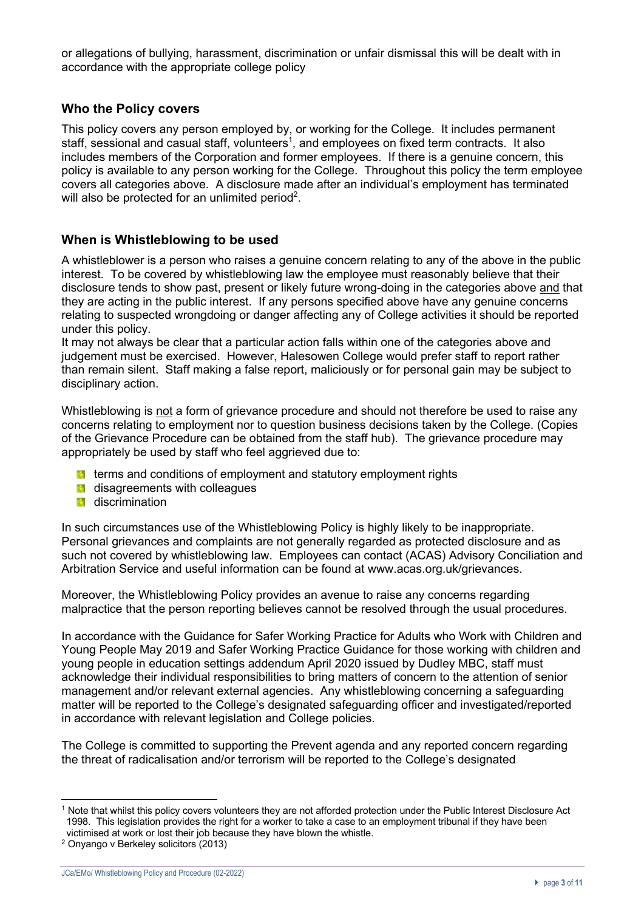or allegations of bullying, harassment, discrimination or unfair dismissal this will be dealt with in accordance with the appropriate college policy

## **Who the Policy covers**

This policy covers any person employed by, or working for the College. It includes permanent staff, sessional and casual staff, volunteers<sup>1</sup>, and employees on fixed term contracts. It also includes members of the Corporation and former employees. If there is a genuine concern, this policy is available to any person working for the College. Throughout this policy the term employee covers all categories above. A disclosure made after an individual's employment has terminated will also be protected for an unlimited period<sup>2</sup>.

#### **When is Whistleblowing to be used**

A whistleblower is a person who raises a genuine concern relating to any of the above in the public interest. To be covered by whistleblowing law the employee must reasonably believe that their disclosure tends to show past, present or likely future wrong-doing in the categories above and that they are acting in the public interest. If any persons specified above have any genuine concerns relating to suspected wrongdoing or danger affecting any of College activities it should be reported under this policy.

It may not always be clear that a particular action falls within one of the categories above and judgement must be exercised. However, Halesowen College would prefer staff to report rather than remain silent. Staff making a false report, maliciously or for personal gain may be subject to disciplinary action.

Whistleblowing is not a form of grievance procedure and should not therefore be used to raise any concerns relating to employment nor to question business decisions taken by the College. (Copies of the Grievance Procedure can be obtained from the staff hub). The grievance procedure may appropriately be used by staff who feel aggrieved due to:

- **th** terms and conditions of employment and statutory employment rights
- **d** disagreements with colleagues
- **discrimination**

In such circumstances use of the Whistleblowing Policy is highly likely to be inappropriate. Personal grievances and complaints are not generally regarded as protected disclosure and as such not covered by whistleblowing law. Employees can contact (ACAS) Advisory Conciliation and Arbitration Service and useful information can be found at www.acas.org.uk/grievances.

Moreover, the Whistleblowing Policy provides an avenue to raise any concerns regarding malpractice that the person reporting believes cannot be resolved through the usual procedures.

In accordance with the Guidance for Safer Working Practice for Adults who Work with Children and Young People May 2019 and Safer Working Practice Guidance for those working with children and young people in education settings addendum April 2020 issued by Dudley MBC, staff must acknowledge their individual responsibilities to bring matters of concern to the attention of senior management and/or relevant external agencies. Any whistleblowing concerning a safeguarding matter will be reported to the College's designated safeguarding officer and investigated/reported in accordance with relevant legislation and College policies.

The College is committed to supporting the Prevent agenda and any reported concern regarding the threat of radicalisation and/or terrorism will be reported to the College's designated

<sup>1</sup> Note that whilst this policy covers volunteers they are not afforded protection under the Public Interest Disclosure Act 1998. This legislation provides the right for a worker to take a case to an employment tribunal if they have been victimised at work or lost their job because they have blown the whistle.

<sup>2</sup> Onyango v Berkeley solicitors (2013)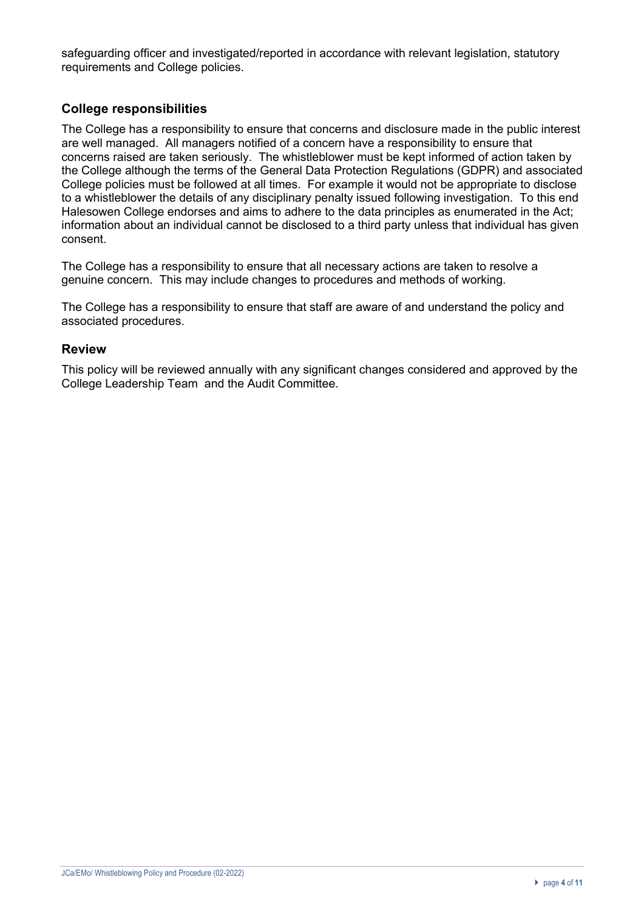safeguarding officer and investigated/reported in accordance with relevant legislation, statutory requirements and College policies.

## **College responsibilities**

The College has a responsibility to ensure that concerns and disclosure made in the public interest are well managed. All managers notified of a concern have a responsibility to ensure that concerns raised are taken seriously. The whistleblower must be kept informed of action taken by the College although the terms of the General Data Protection Regulations (GDPR) and associated College policies must be followed at all times. For example it would not be appropriate to disclose to a whistleblower the details of any disciplinary penalty issued following investigation. To this end Halesowen College endorses and aims to adhere to the data principles as enumerated in the Act; information about an individual cannot be disclosed to a third party unless that individual has given consent.

The College has a responsibility to ensure that all necessary actions are taken to resolve a genuine concern. This may include changes to procedures and methods of working.

The College has a responsibility to ensure that staff are aware of and understand the policy and associated procedures.

#### **Review**

This policy will be reviewed annually with any significant changes considered and approved by the College Leadership Team and the Audit Committee.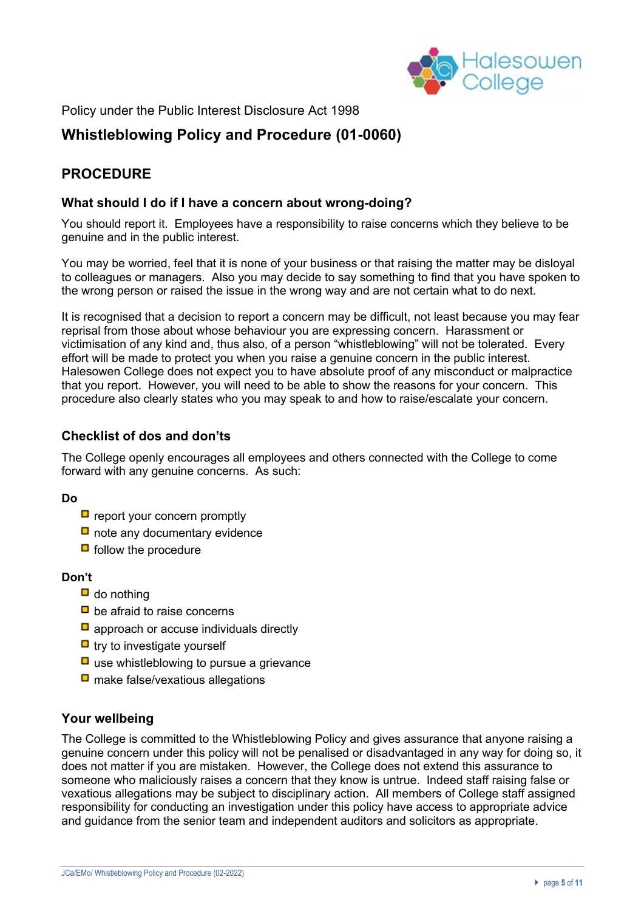

Policy under the Public Interest Disclosure Act 1998

# **Whistleblowing Policy and Procedure (01-0060)**

# **PROCEDURE**

#### **What should I do if I have a concern about wrong-doing?**

You should report it. Employees have a responsibility to raise concerns which they believe to be genuine and in the public interest.

You may be worried, feel that it is none of your business or that raising the matter may be disloyal to colleagues or managers. Also you may decide to say something to find that you have spoken to the wrong person or raised the issue in the wrong way and are not certain what to do next.

It is recognised that a decision to report a concern may be difficult, not least because you may fear reprisal from those about whose behaviour you are expressing concern. Harassment or victimisation of any kind and, thus also, of a person "whistleblowing" will not be tolerated. Every effort will be made to protect you when you raise a genuine concern in the public interest. Halesowen College does not expect you to have absolute proof of any misconduct or malpractice that you report. However, you will need to be able to show the reasons for your concern. This procedure also clearly states who you may speak to and how to raise/escalate your concern.

## **Checklist of dos and don'ts**

The College openly encourages all employees and others connected with the College to come forward with any genuine concerns. As such:

#### **Do**

- $\Box$  report your concern promptly
- $\Box$  note any documentary evidence
- $\blacksquare$  follow the procedure

#### **Don't**

- $\Box$  do nothing
- $\Box$  be afraid to raise concerns
- $\Box$  approach or accuse individuals directly
- $\Box$  try to investigate yourself
- $\Box$  use whistleblowing to pursue a grievance
- $\Box$  make false/vexatious allegations

#### **Your wellbeing**

The College is committed to the Whistleblowing Policy and gives assurance that anyone raising a genuine concern under this policy will not be penalised or disadvantaged in any way for doing so, it does not matter if you are mistaken. However, the College does not extend this assurance to someone who maliciously raises a concern that they know is untrue. Indeed staff raising false or vexatious allegations may be subject to disciplinary action. All members of College staff assigned responsibility for conducting an investigation under this policy have access to appropriate advice and guidance from the senior team and independent auditors and solicitors as appropriate.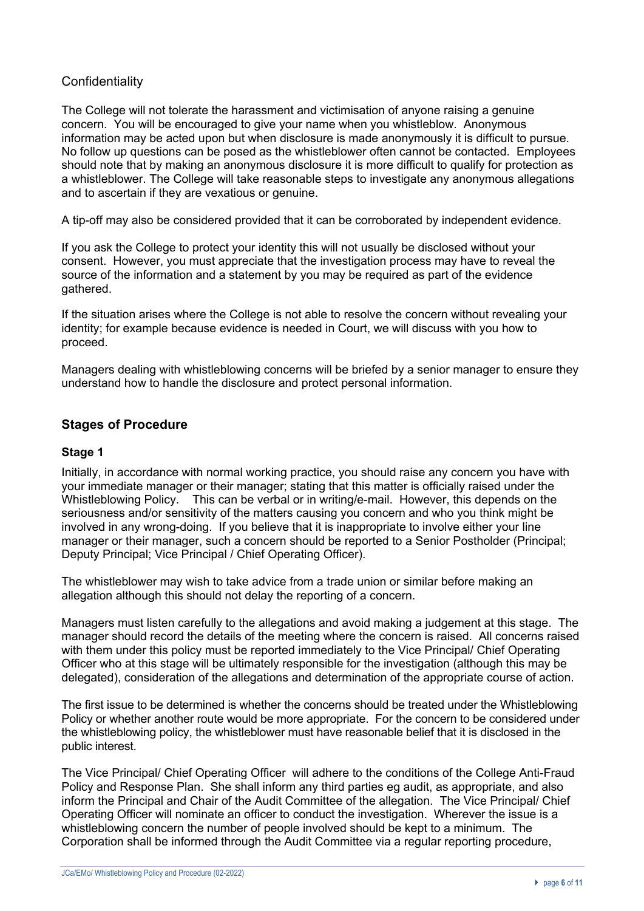## **Confidentiality**

The College will not tolerate the harassment and victimisation of anyone raising a genuine concern. You will be encouraged to give your name when you whistleblow. Anonymous information may be acted upon but when disclosure is made anonymously it is difficult to pursue. No follow up questions can be posed as the whistleblower often cannot be contacted. Employees should note that by making an anonymous disclosure it is more difficult to qualify for protection as a whistleblower. The College will take reasonable steps to investigate any anonymous allegations and to ascertain if they are vexatious or genuine.

A tip-off may also be considered provided that it can be corroborated by independent evidence.

If you ask the College to protect your identity this will not usually be disclosed without your consent. However, you must appreciate that the investigation process may have to reveal the source of the information and a statement by you may be required as part of the evidence gathered.

If the situation arises where the College is not able to resolve the concern without revealing your identity; for example because evidence is needed in Court, we will discuss with you how to proceed.

Managers dealing with whistleblowing concerns will be briefed by a senior manager to ensure they understand how to handle the disclosure and protect personal information.

## **Stages of Procedure**

## **Stage 1**

Initially, in accordance with normal working practice, you should raise any concern you have with your immediate manager or their manager; stating that this matter is officially raised under the Whistleblowing Policy. This can be verbal or in writing/e-mail. However, this depends on the seriousness and/or sensitivity of the matters causing you concern and who you think might be involved in any wrong-doing. If you believe that it is inappropriate to involve either your line manager or their manager, such a concern should be reported to a Senior Postholder (Principal; Deputy Principal; Vice Principal / Chief Operating Officer).

The whistleblower may wish to take advice from a trade union or similar before making an allegation although this should not delay the reporting of a concern.

Managers must listen carefully to the allegations and avoid making a judgement at this stage. The manager should record the details of the meeting where the concern is raised. All concerns raised with them under this policy must be reported immediately to the Vice Principal/ Chief Operating Officer who at this stage will be ultimately responsible for the investigation (although this may be delegated), consideration of the allegations and determination of the appropriate course of action.

The first issue to be determined is whether the concerns should be treated under the Whistleblowing Policy or whether another route would be more appropriate. For the concern to be considered under the whistleblowing policy, the whistleblower must have reasonable belief that it is disclosed in the public interest.

The Vice Principal/ Chief Operating Officer will adhere to the conditions of the College Anti-Fraud Policy and Response Plan. She shall inform any third parties eg audit, as appropriate, and also inform the Principal and Chair of the Audit Committee of the allegation. The Vice Principal/ Chief Operating Officer will nominate an officer to conduct the investigation. Wherever the issue is a whistleblowing concern the number of people involved should be kept to a minimum. The Corporation shall be informed through the Audit Committee via a regular reporting procedure,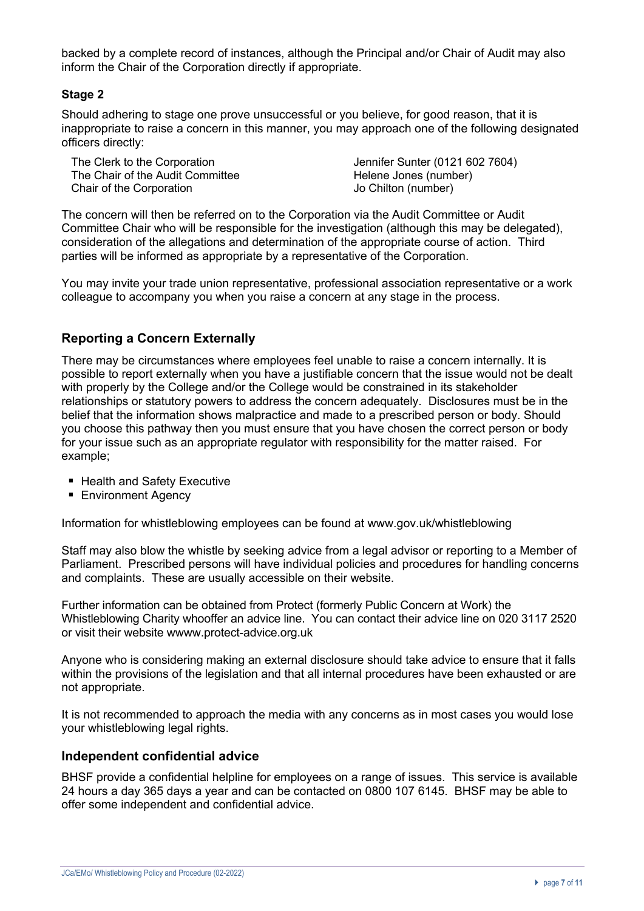backed by a complete record of instances, although the Principal and/or Chair of Audit may also inform the Chair of the Corporation directly if appropriate.

#### **Stage 2**

Should adhering to stage one prove unsuccessful or you believe, for good reason, that it is inappropriate to raise a concern in this manner, you may approach one of the following designated officers directly:

The Clerk to the Corporation The Clerk to the Corporation Jennifer Sunter (0121 602 7604) The Chair of the Audit Committee **Helene Jones (number)** Chair of the Corporation **Chair of the Corporation** Jo Chilton (number)

The concern will then be referred on to the Corporation via the Audit Committee or Audit Committee Chair who will be responsible for the investigation (although this may be delegated), consideration of the allegations and determination of the appropriate course of action. Third parties will be informed as appropriate by a representative of the Corporation.

You may invite your trade union representative, professional association representative or a work colleague to accompany you when you raise a concern at any stage in the process.

## **Reporting a Concern Externally**

There may be circumstances where employees feel unable to raise a concern internally. It is possible to report externally when you have a justifiable concern that the issue would not be dealt with properly by the College and/or the College would be constrained in its stakeholder relationships or statutory powers to address the concern adequately. Disclosures must be in the belief that the information shows malpractice and made to a prescribed person or body. Should you choose this pathway then you must ensure that you have chosen the correct person or body for your issue such as an appropriate regulator with responsibility for the matter raised. For example;

- Health and Safety Executive
- Environment Agency

Information for whistleblowing employees can be found at www.gov.uk/whistleblowing

Staff may also blow the whistle by seeking advice from a legal advisor or reporting to a Member of Parliament. Prescribed persons will have individual policies and procedures for handling concerns and complaints. These are usually accessible on their website.

Further information can be obtained from Protect (formerly Public Concern at Work) the Whistleblowing Charity whooffer an advice line. You can contact their advice line on 020 3117 2520 or visit their website wwww.protect-advice.org.uk

Anyone who is considering making an external disclosure should take advice to ensure that it falls within the provisions of the legislation and that all internal procedures have been exhausted or are not appropriate.

It is not recommended to approach the media with any concerns as in most cases you would lose your whistleblowing legal rights.

#### **Independent confidential advice**

BHSF provide a confidential helpline for employees on a range of issues. This service is available 24 hours a day 365 days a year and can be contacted on 0800 107 6145. BHSF may be able to offer some independent and confidential advice.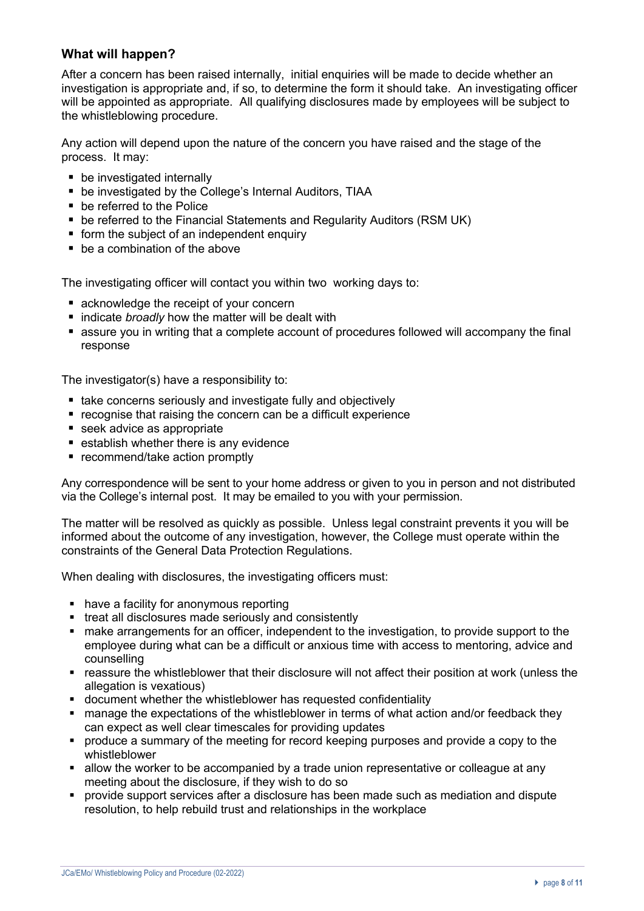## **What will happen?**

After a concern has been raised internally, initial enquiries will be made to decide whether an investigation is appropriate and, if so, to determine the form it should take. An investigating officer will be appointed as appropriate. All qualifying disclosures made by employees will be subject to the whistleblowing procedure.

Any action will depend upon the nature of the concern you have raised and the stage of the process. It may:

- be investigated internally
- be investigated by the College's Internal Auditors, TIAA
- be referred to the Police
- be referred to the Financial Statements and Regularity Auditors (RSM UK)
- form the subject of an independent enquiry
- be a combination of the above

The investigating officer will contact you within two working days to:

- acknowledge the receipt of your concern
- indicate *broadly* how the matter will be dealt with
- assure you in writing that a complete account of procedures followed will accompany the final response

The investigator(s) have a responsibility to:

- take concerns seriously and investigate fully and objectively
- recognise that raising the concern can be a difficult experience
- seek advice as appropriate
- establish whether there is any evidence
- recommend/take action promptly

Any correspondence will be sent to your home address or given to you in person and not distributed via the College's internal post. It may be emailed to you with your permission.

The matter will be resolved as quickly as possible. Unless legal constraint prevents it you will be informed about the outcome of any investigation, however, the College must operate within the constraints of the General Data Protection Regulations.

When dealing with disclosures, the investigating officers must:

- have a facility for anonymous reporting
- treat all disclosures made seriously and consistently
- make arrangements for an officer, independent to the investigation, to provide support to the employee during what can be a difficult or anxious time with access to mentoring, advice and counselling
- reassure the whistleblower that their disclosure will not affect their position at work (unless the allegation is vexatious)
- document whether the whistleblower has requested confidentiality
- manage the expectations of the whistleblower in terms of what action and/or feedback they can expect as well clear timescales for providing updates
- produce a summary of the meeting for record keeping purposes and provide a copy to the whistleblower
- allow the worker to be accompanied by a trade union representative or colleague at any meeting about the disclosure, if they wish to do so
- § provide support services after a disclosure has been made such as mediation and dispute resolution, to help rebuild trust and relationships in the workplace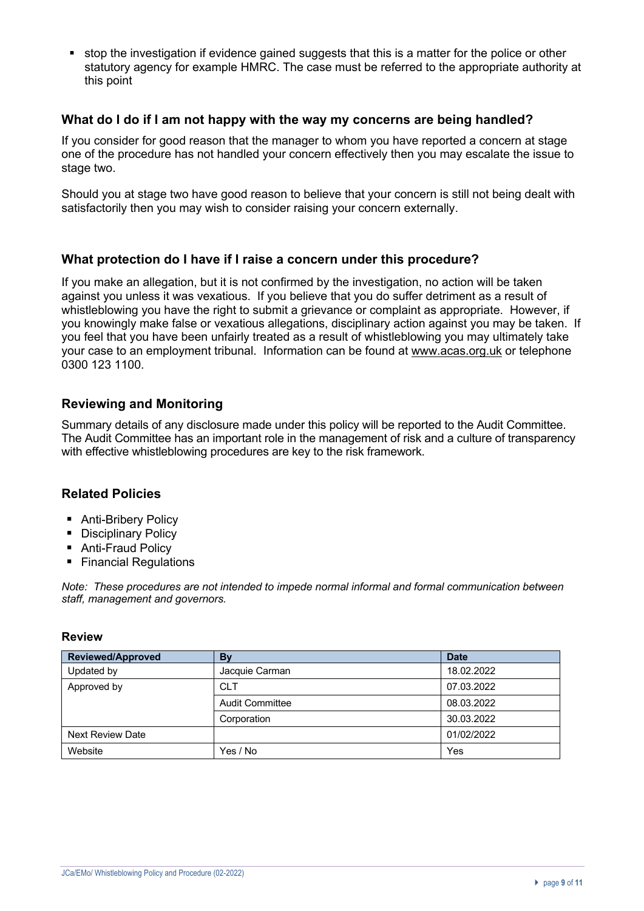■ stop the investigation if evidence gained suggests that this is a matter for the police or other statutory agency for example HMRC. The case must be referred to the appropriate authority at this point

#### **What do I do if I am not happy with the way my concerns are being handled?**

If you consider for good reason that the manager to whom you have reported a concern at stage one of the procedure has not handled your concern effectively then you may escalate the issue to stage two.

Should you at stage two have good reason to believe that your concern is still not being dealt with satisfactorily then you may wish to consider raising your concern externally.

#### **What protection do I have if I raise a concern under this procedure?**

If you make an allegation, but it is not confirmed by the investigation, no action will be taken against you unless it was vexatious. If you believe that you do suffer detriment as a result of whistleblowing you have the right to submit a grievance or complaint as appropriate. However, if you knowingly make false or vexatious allegations, disciplinary action against you may be taken. If you feel that you have been unfairly treated as a result of whistleblowing you may ultimately take your case to an employment tribunal. Information can be found at www.acas.org.uk or telephone 0300 123 1100.

#### **Reviewing and Monitoring**

Summary details of any disclosure made under this policy will be reported to the Audit Committee. The Audit Committee has an important role in the management of risk and a culture of transparency with effective whistleblowing procedures are key to the risk framework.

## **Related Policies**

- Anti-Bribery Policy
- Disciplinary Policy
- Anti-Fraud Policy
- Financial Regulations

*Note: These procedures are not intended to impede normal informal and formal communication between staff, management and governors.*

#### **Review**

| <b>Reviewed/Approved</b> | By              | <b>Date</b> |
|--------------------------|-----------------|-------------|
| Updated by               | Jacquie Carman  | 18.02.2022  |
| Approved by              | <b>CLT</b>      | 07.03.2022  |
|                          | Audit Committee | 08.03.2022  |
|                          | Corporation     | 30.03.2022  |
| <b>Next Review Date</b>  |                 | 01/02/2022  |
| Website                  | Yes / No        | Yes         |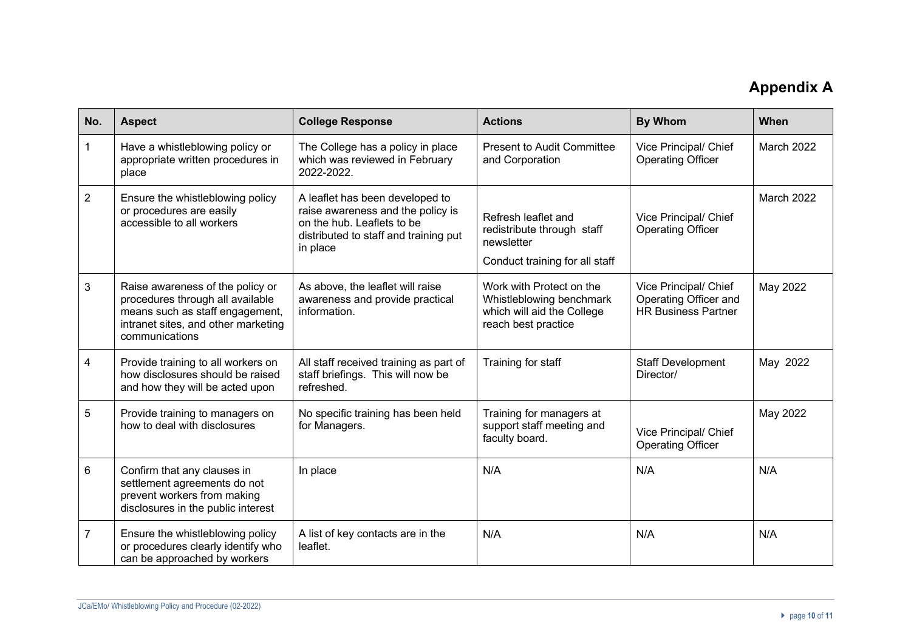# **Appendix A**

| No.            | <b>Aspect</b>                                                                                                                                                    | <b>College Response</b>                                                                                                                                 | <b>Actions</b>                                                                                            | <b>By Whom</b>                                                               | When       |
|----------------|------------------------------------------------------------------------------------------------------------------------------------------------------------------|---------------------------------------------------------------------------------------------------------------------------------------------------------|-----------------------------------------------------------------------------------------------------------|------------------------------------------------------------------------------|------------|
| 1              | Have a whistleblowing policy or<br>appropriate written procedures in<br>place                                                                                    | The College has a policy in place<br>which was reviewed in February<br>2022-2022.                                                                       | <b>Present to Audit Committee</b><br>and Corporation                                                      | Vice Principal/ Chief<br><b>Operating Officer</b>                            | March 2022 |
| 2              | Ensure the whistleblowing policy<br>or procedures are easily<br>accessible to all workers                                                                        | A leaflet has been developed to<br>raise awareness and the policy is<br>on the hub. Leaflets to be<br>distributed to staff and training put<br>in place | Refresh leaflet and<br>redistribute through staff<br>newsletter<br>Conduct training for all staff         | Vice Principal/ Chief<br><b>Operating Officer</b>                            | March 2022 |
| 3              | Raise awareness of the policy or<br>procedures through all available<br>means such as staff engagement,<br>intranet sites, and other marketing<br>communications | As above, the leaflet will raise<br>awareness and provide practical<br>information.                                                                     | Work with Protect on the<br>Whistleblowing benchmark<br>which will aid the College<br>reach best practice | Vice Principal/ Chief<br>Operating Officer and<br><b>HR Business Partner</b> | May 2022   |
| 4              | Provide training to all workers on<br>how disclosures should be raised<br>and how they will be acted upon                                                        | All staff received training as part of<br>staff briefings. This will now be<br>refreshed.                                                               | Training for staff                                                                                        | <b>Staff Development</b><br>Director/                                        | May 2022   |
| 5              | Provide training to managers on<br>how to deal with disclosures                                                                                                  | No specific training has been held<br>for Managers.                                                                                                     | Training for managers at<br>support staff meeting and<br>faculty board.                                   | Vice Principal/ Chief<br><b>Operating Officer</b>                            | May 2022   |
| 6              | Confirm that any clauses in<br>settlement agreements do not<br>prevent workers from making<br>disclosures in the public interest                                 | In place                                                                                                                                                | N/A                                                                                                       | N/A                                                                          | N/A        |
| $\overline{7}$ | Ensure the whistleblowing policy<br>or procedures clearly identify who<br>can be approached by workers                                                           | A list of key contacts are in the<br>leaflet.                                                                                                           | N/A                                                                                                       | N/A                                                                          | N/A        |